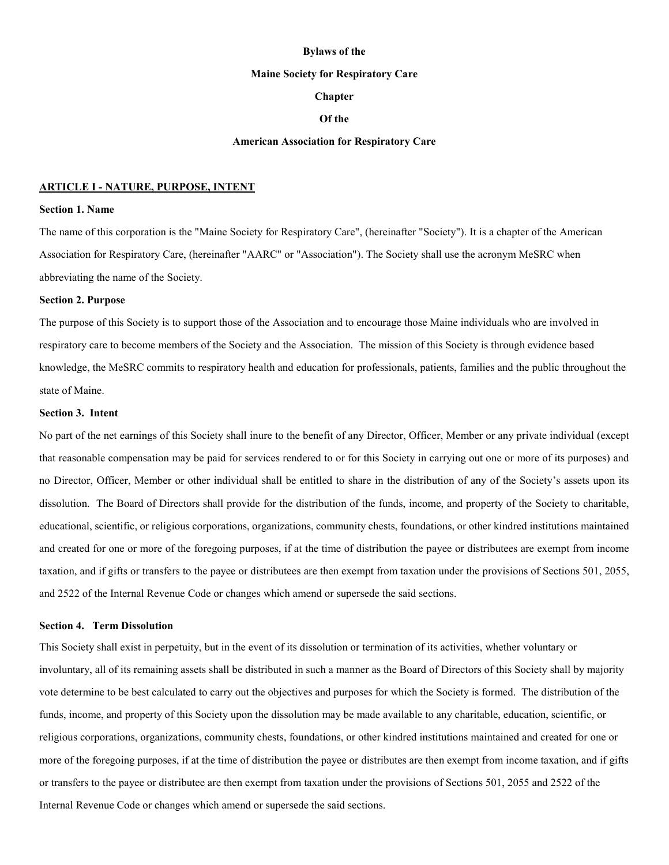#### **Bylaws of the**

#### **Maine Society for Respiratory Care**

## **Chapter**

### **Of the**

#### **American Association for Respiratory Care**

### **ARTICLE I - NATURE, PURPOSE, INTENT**

### **Section 1. Name**

The name of this corporation is the "Maine Society for Respiratory Care", (hereinafter "Society"). It is a chapter of the American Association for Respiratory Care, (hereinafter "AARC" or "Association"). The Society shall use the acronym MeSRC when abbreviating the name of the Society.

### **Section 2. Purpose**

The purpose of this Society is to support those of the Association and to encourage those Maine individuals who are involved in respiratory care to become members of the Society and the Association. The mission of this Society is through evidence based knowledge, the MeSRC commits to respiratory health and education for professionals, patients, families and the public throughout the state of Maine.

#### **Section 3. Intent**

No part of the net earnings of this Society shall inure to the benefit of any Director, Officer, Member or any private individual (except that reasonable compensation may be paid for services rendered to or for this Society in carrying out one or more of its purposes) and no Director, Officer, Member or other individual shall be entitled to share in the distribution of any of the Society's assets upon its dissolution. The Board of Directors shall provide for the distribution of the funds, income, and property of the Society to charitable, educational, scientific, or religious corporations, organizations, community chests, foundations, or other kindred institutions maintained and created for one or more of the foregoing purposes, if at the time of distribution the payee or distributees are exempt from income taxation, and if gifts or transfers to the payee or distributees are then exempt from taxation under the provisions of Sections 501, 2055, and 2522 of the Internal Revenue Code or changes which amend or supersede the said sections.

#### **Section 4. Term Dissolution**

This Society shall exist in perpetuity, but in the event of its dissolution or termination of its activities, whether voluntary or involuntary, all of its remaining assets shall be distributed in such a manner as the Board of Directors of this Society shall by majority vote determine to be best calculated to carry out the objectives and purposes for which the Society is formed. The distribution of the funds, income, and property of this Society upon the dissolution may be made available to any charitable, education, scientific, or religious corporations, organizations, community chests, foundations, or other kindred institutions maintained and created for one or more of the foregoing purposes, if at the time of distribution the payee or distributes are then exempt from income taxation, and if gifts or transfers to the payee or distributee are then exempt from taxation under the provisions of Sections 501, 2055 and 2522 of the Internal Revenue Code or changes which amend or supersede the said sections.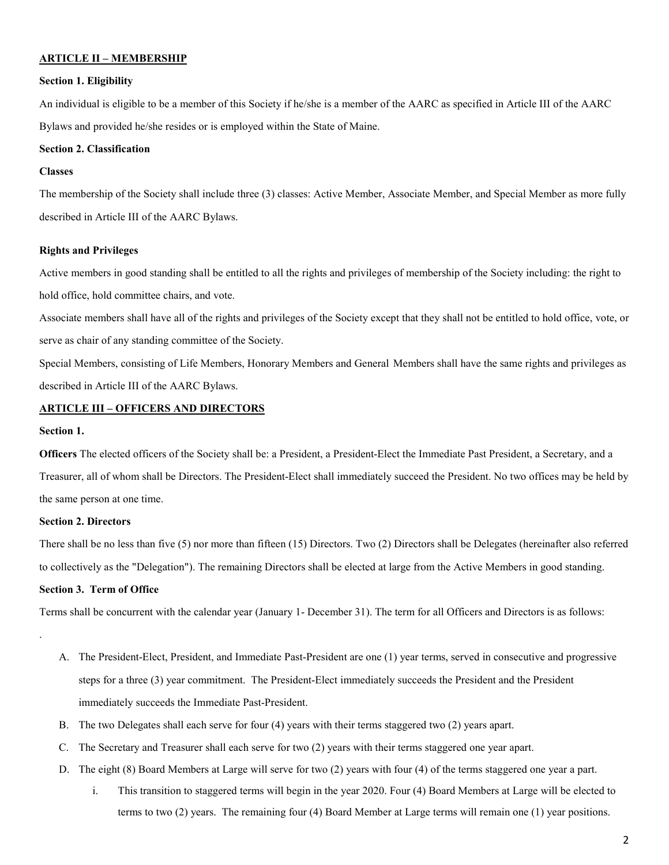### **ARTICLE II – MEMBERSHIP**

#### **Section 1. Eligibility**

An individual is eligible to be a member of this Society if he/she is a member of the AARC as specified in Article III of the AARC Bylaws and provided he/she resides or is employed within the State of Maine.

### **Section 2. Classification**

### **Classes**

The membership of the Society shall include three (3) classes: Active Member, Associate Member, and Special Member as more fully described in Article III of the AARC Bylaws.

#### **Rights and Privileges**

Active members in good standing shall be entitled to all the rights and privileges of membership of the Society including: the right to hold office, hold committee chairs, and vote.

Associate members shall have all of the rights and privileges of the Society except that they shall not be entitled to hold office, vote, or serve as chair of any standing committee of the Society.

Special Members, consisting of Life Members, Honorary Members and General Members shall have the same rights and privileges as described in Article III of the AARC Bylaws.

# **ARTICLE III – OFFICERS AND DIRECTORS**

### **Section 1.**

.

**Officers** The elected officers of the Society shall be: a President, a President-Elect the Immediate Past President, a Secretary, and a Treasurer, all of whom shall be Directors. The President-Elect shall immediately succeed the President. No two offices may be held by the same person at one time.

#### **Section 2. Directors**

There shall be no less than five (5) nor more than fifteen (15) Directors. Two (2) Directors shall be Delegates (hereinafter also referred to collectively as the "Delegation"). The remaining Directors shall be elected at large from the Active Members in good standing.

## **Section 3. Term of Office**

Terms shall be concurrent with the calendar year (January 1- December 31). The term for all Officers and Directors is as follows:

- A. The President-Elect, President, and Immediate Past-President are one (1) year terms, served in consecutive and progressive steps for a three (3) year commitment. The President-Elect immediately succeeds the President and the President immediately succeeds the Immediate Past-President.
- B. The two Delegates shall each serve for four (4) years with their terms staggered two (2) years apart.
- C. The Secretary and Treasurer shall each serve for two (2) years with their terms staggered one year apart.
- D. The eight (8) Board Members at Large will serve for two (2) years with four (4) of the terms staggered one year a part.
	- i. This transition to staggered terms will begin in the year 2020. Four (4) Board Members at Large will be elected to terms to two (2) years. The remaining four (4) Board Member at Large terms will remain one (1) year positions.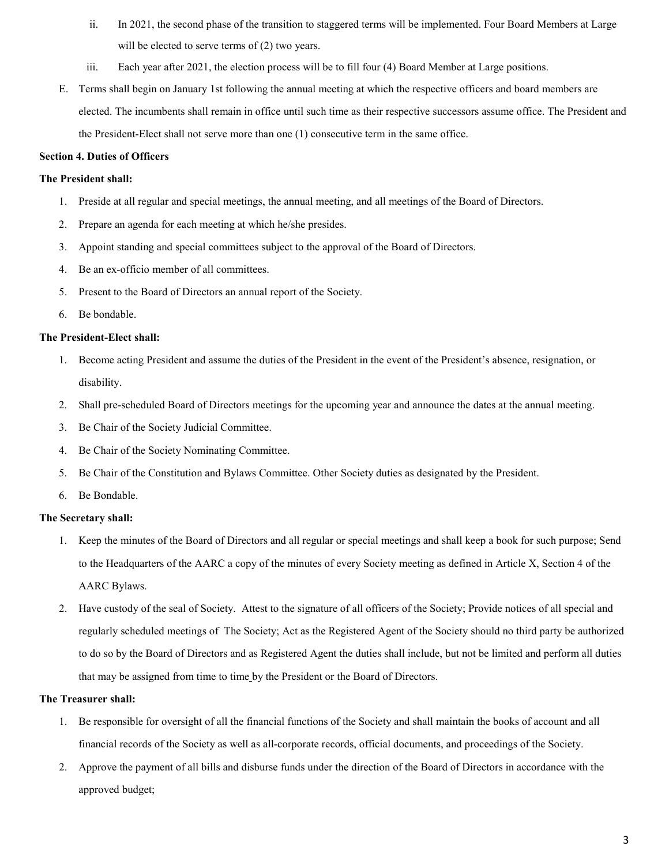- ii. In 2021, the second phase of the transition to staggered terms will be implemented. Four Board Members at Large will be elected to serve terms of  $(2)$  two years.
- iii. Each year after 2021, the election process will be to fill four (4) Board Member at Large positions.
- E. Terms shall begin on January 1st following the annual meeting at which the respective officers and board members are elected. The incumbents shall remain in office until such time as their respective successors assume office. The President and the President-Elect shall not serve more than one (1) consecutive term in the same office.

## **Section 4. Duties of Officers**

## **The President shall:**

- 1. Preside at all regular and special meetings, the annual meeting, and all meetings of the Board of Directors.
- 2. Prepare an agenda for each meeting at which he/she presides.
- 3. Appoint standing and special committees subject to the approval of the Board of Directors.
- 4. Be an ex-officio member of all committees.
- 5. Present to the Board of Directors an annual report of the Society.
- 6. Be bondable.

## **The President-Elect shall:**

- 1. Become acting President and assume the duties of the President in the event of the President's absence, resignation, or disability.
- 2. Shall pre-scheduled Board of Directors meetings for the upcoming year and announce the dates at the annual meeting.
- 3. Be Chair of the Society Judicial Committee.
- 4. Be Chair of the Society Nominating Committee.
- 5. Be Chair of the Constitution and Bylaws Committee. Other Society duties as designated by the President.
- 6. Be Bondable.

### **The Secretary shall:**

- 1. Keep the minutes of the Board of Directors and all regular or special meetings and shall keep a book for such purpose; Send to the Headquarters of the AARC a copy of the minutes of every Society meeting as defined in Article X, Section 4 of the AARC Bylaws.
- 2. Have custody of the seal of Society. Attest to the signature of all officers of the Society; Provide notices of all special and regularly scheduled meetings of The Society; Act as the Registered Agent of the Society should no third party be authorized to do so by the Board of Directors and as Registered Agent the duties shall include, but not be limited and perform all duties that may be assigned from time to time by the President or the Board of Directors.

# **The Treasurer shall:**

- 1. Be responsible for oversight of all the financial functions of the Society and shall maintain the books of account and all financial records of the Society as well as all-corporate records, official documents, and proceedings of the Society.
- 2. Approve the payment of all bills and disburse funds under the direction of the Board of Directors in accordance with the approved budget;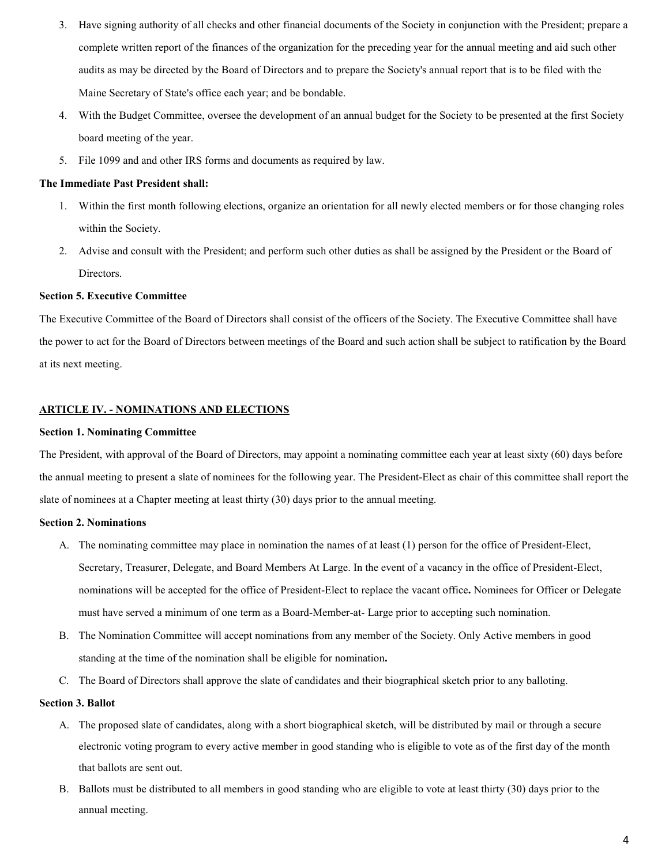- 3. Have signing authority of all checks and other financial documents of the Society in conjunction with the President; prepare a complete written report of the finances of the organization for the preceding year for the annual meeting and aid such other audits as may be directed by the Board of Directors and to prepare the Society's annual report that is to be filed with the Maine Secretary of State's office each year; and be bondable.
- 4. With the Budget Committee, oversee the development of an annual budget for the Society to be presented at the first Society board meeting of the year.
- 5. File 1099 and and other IRS forms and documents as required by law.

## **The Immediate Past President shall:**

- 1. Within the first month following elections, organize an orientation for all newly elected members or for those changing roles within the Society.
- 2. Advise and consult with the President; and perform such other duties as shall be assigned by the President or the Board of Directors.

## **Section 5. Executive Committee**

The Executive Committee of the Board of Directors shall consist of the officers of the Society. The Executive Committee shall have the power to act for the Board of Directors between meetings of the Board and such action shall be subject to ratification by the Board at its next meeting.

## **ARTICLE IV. - NOMINATIONS AND ELECTIONS**

### **Section 1. Nominating Committee**

The President, with approval of the Board of Directors, may appoint a nominating committee each year at least sixty (60) days before the annual meeting to present a slate of nominees for the following year. The President-Elect as chair of this committee shall report the slate of nominees at a Chapter meeting at least thirty (30) days prior to the annual meeting.

### **Section 2. Nominations**

- A. The nominating committee may place in nomination the names of at least (1) person for the office of President-Elect, Secretary, Treasurer, Delegate, and Board Members At Large. In the event of a vacancy in the office of President-Elect, nominations will be accepted for the office of President-Elect to replace the vacant office**.** Nominees for Officer or Delegate must have served a minimum of one term as a Board-Member-at- Large prior to accepting such nomination.
- B. The Nomination Committee will accept nominations from any member of the Society. Only Active members in good standing at the time of the nomination shall be eligible for nomination**.**
- C. The Board of Directors shall approve the slate of candidates and their biographical sketch prior to any balloting.

### **Section 3. Ballot**

- A. The proposed slate of candidates, along with a short biographical sketch, will be distributed by mail or through a secure electronic voting program to every active member in good standing who is eligible to vote as of the first day of the month that ballots are sent out.
- B. Ballots must be distributed to all members in good standing who are eligible to vote at least thirty (30) days prior to the annual meeting.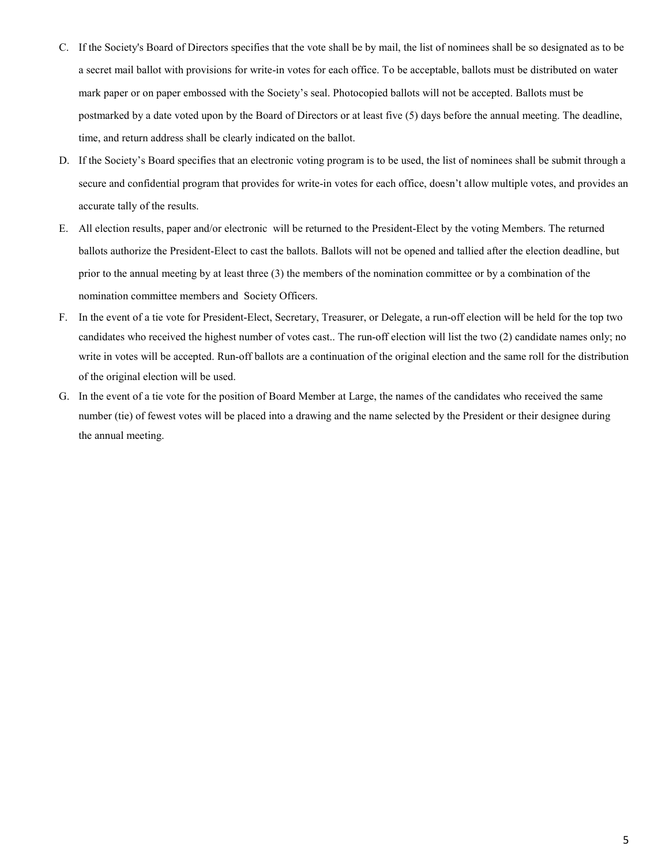- C. If the Society's Board of Directors specifies that the vote shall be by mail, the list of nominees shall be so designated as to be a secret mail ballot with provisions for write-in votes for each office. To be acceptable, ballots must be distributed on water mark paper or on paper embossed with the Society's seal. Photocopied ballots will not be accepted. Ballots must be postmarked by a date voted upon by the Board of Directors or at least five (5) days before the annual meeting. The deadline, time, and return address shall be clearly indicated on the ballot.
- D. If the Society's Board specifies that an electronic voting program is to be used, the list of nominees shall be submit through a secure and confidential program that provides for write-in votes for each office, doesn't allow multiple votes, and provides an accurate tally of the results.
- E. All election results, paper and/or electronic will be returned to the President-Elect by the voting Members. The returned ballots authorize the President-Elect to cast the ballots. Ballots will not be opened and tallied after the election deadline, but prior to the annual meeting by at least three (3) the members of the nomination committee or by a combination of the nomination committee members and Society Officers.
- F. In the event of a tie vote for President-Elect, Secretary, Treasurer, or Delegate, a run-off election will be held for the top two candidates who received the highest number of votes cast.. The run-off election will list the two (2) candidate names only; no write in votes will be accepted. Run-off ballots are a continuation of the original election and the same roll for the distribution of the original election will be used.
- G. In the event of a tie vote for the position of Board Member at Large, the names of the candidates who received the same number (tie) of fewest votes will be placed into a drawing and the name selected by the President or their designee during the annual meeting.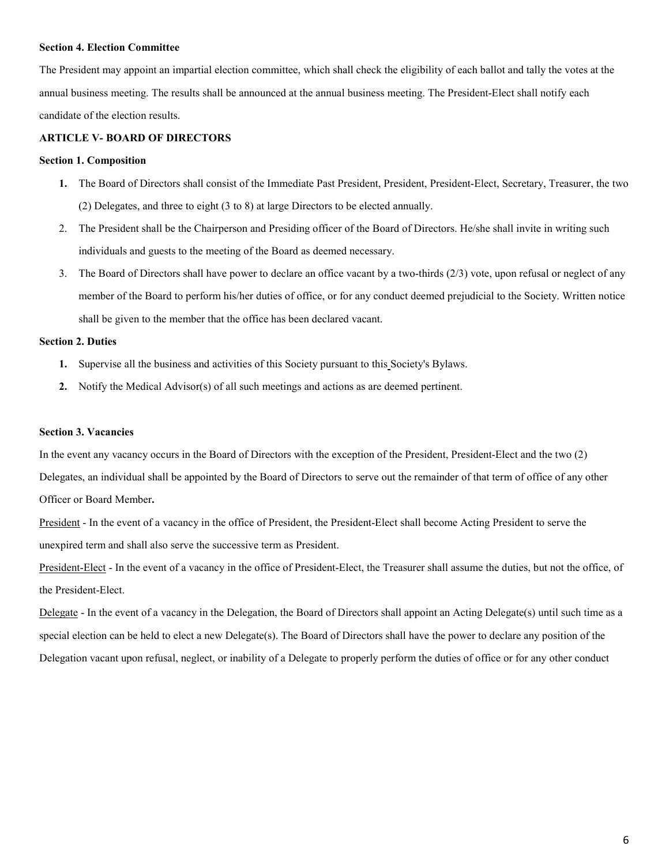#### **Section 4. Election Committee**

The President may appoint an impartial election committee, which shall check the eligibility of each ballot and tally the votes at the annual business meeting. The results shall be announced at the annual business meeting. The President-Elect shall notify each candidate of the election results.

## **ARTICLE V- BOARD OF DIRECTORS**

#### **Section 1. Composition**

- **1.** The Board of Directors shall consist of the Immediate Past President, President, President-Elect, Secretary, Treasurer, the two (2) Delegates, and three to eight (3 to 8) at large Directors to be elected annually.
- 2. The President shall be the Chairperson and Presiding officer of the Board of Directors. He/she shall invite in writing such individuals and guests to the meeting of the Board as deemed necessary.
- 3. The Board of Directors shall have power to declare an office vacant by a two-thirds (2/3) vote, upon refusal or neglect of any member of the Board to perform his/her duties of office, or for any conduct deemed prejudicial to the Society. Written notice shall be given to the member that the office has been declared vacant.

## **Section 2. Duties**

- **1.** Supervise all the business and activities of this Society pursuant to this Society's Bylaws.
- **2.** Notify the Medical Advisor(s) of all such meetings and actions as are deemed pertinent.

#### **Section 3. Vacancies**

In the event any vacancy occurs in the Board of Directors with the exception of the President, President-Elect and the two (2) Delegates, an individual shall be appointed by the Board of Directors to serve out the remainder of that term of office of any other

Officer or Board Member**.**

President - In the event of a vacancy in the office of President, the President-Elect shall become Acting President to serve the unexpired term and shall also serve the successive term as President.

President-Elect - In the event of a vacancy in the office of President-Elect, the Treasurer shall assume the duties, but not the office, of the President-Elect.

Delegate - In the event of a vacancy in the Delegation, the Board of Directors shall appoint an Acting Delegate(s) until such time as a special election can be held to elect a new Delegate(s). The Board of Directors shall have the power to declare any position of the Delegation vacant upon refusal, neglect, or inability of a Delegate to properly perform the duties of office or for any other conduct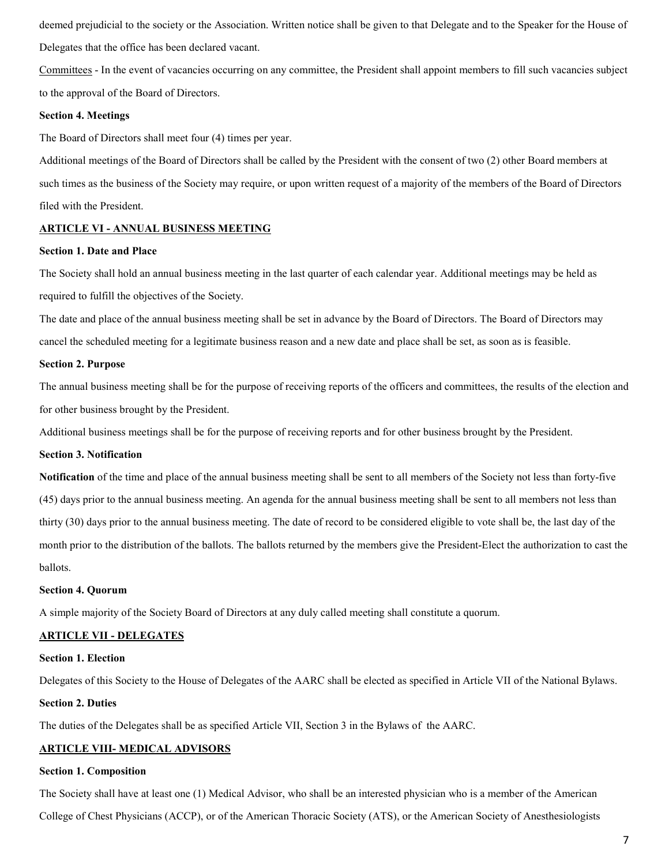deemed prejudicial to the society or the Association. Written notice shall be given to that Delegate and to the Speaker for the House of Delegates that the office has been declared vacant.

Committees - In the event of vacancies occurring on any committee, the President shall appoint members to fill such vacancies subject to the approval of the Board of Directors.

### **Section 4. Meetings**

The Board of Directors shall meet four (4) times per year.

Additional meetings of the Board of Directors shall be called by the President with the consent of two (2) other Board members at such times as the business of the Society may require, or upon written request of a majority of the members of the Board of Directors filed with the President.

## **ARTICLE VI - ANNUAL BUSINESS MEETING**

## **Section 1. Date and Place**

The Society shall hold an annual business meeting in the last quarter of each calendar year. Additional meetings may be held as required to fulfill the objectives of the Society.

The date and place of the annual business meeting shall be set in advance by the Board of Directors. The Board of Directors may cancel the scheduled meeting for a legitimate business reason and a new date and place shall be set, as soon as is feasible.

#### **Section 2. Purpose**

The annual business meeting shall be for the purpose of receiving reports of the officers and committees, the results of the election and for other business brought by the President.

Additional business meetings shall be for the purpose of receiving reports and for other business brought by the President.

#### **Section 3. Notification**

**Notification** of the time and place of the annual business meeting shall be sent to all members of the Society not less than forty-five (45) days prior to the annual business meeting. An agenda for the annual business meeting shall be sent to all members not less than thirty (30) days prior to the annual business meeting. The date of record to be considered eligible to vote shall be, the last day of the month prior to the distribution of the ballots. The ballots returned by the members give the President-Elect the authorization to cast the ballots.

#### **Section 4. Quorum**

A simple majority of the Society Board of Directors at any duly called meeting shall constitute a quorum.

## **ARTICLE VII - DELEGATES**

#### **Section 1. Election**

Delegates of this Society to the House of Delegates of the AARC shall be elected as specified in Article VII of the National Bylaws.

### **Section 2. Duties**

The duties of the Delegates shall be as specified Article VII, Section 3 in the Bylaws of the AARC.

# **ARTICLE VIII- MEDICAL ADVISORS**

### **Section 1. Composition**

The Society shall have at least one (1) Medical Advisor, who shall be an interested physician who is a member of the American

College of Chest Physicians (ACCP), or of the American Thoracic Society (ATS), or the American Society of Anesthesiologists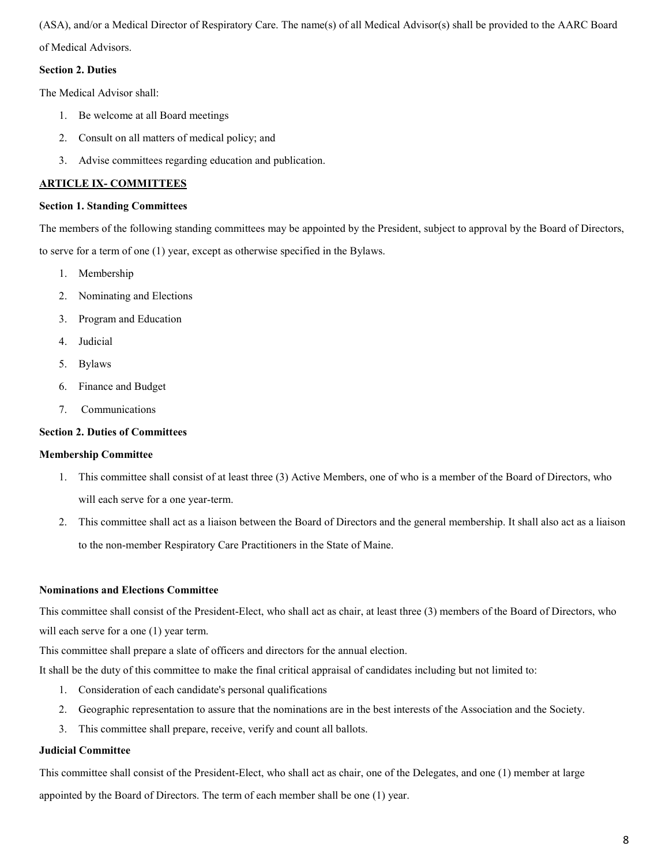(ASA), and/or a Medical Director of Respiratory Care. The name(s) of all Medical Advisor(s) shall be provided to the AARC Board

of Medical Advisors.

## **Section 2. Duties**

The Medical Advisor shall:

- 1. Be welcome at all Board meetings
- 2. Consult on all matters of medical policy; and
- 3. Advise committees regarding education and publication.

# **ARTICLE IX- COMMITTEES**

## **Section 1. Standing Committees**

The members of the following standing committees may be appointed by the President, subject to approval by the Board of Directors, to serve for a term of one (1) year, except as otherwise specified in the Bylaws.

- 1. Membership
- 2. Nominating and Elections
- 3. Program and Education
- 4. Judicial
- 5. Bylaws
- 6. Finance and Budget
- 7. Communications

## **Section 2. Duties of Committees**

## **Membership Committee**

- 1. This committee shall consist of at least three (3) Active Members, one of who is a member of the Board of Directors, who will each serve for a one year-term.
- 2. This committee shall act as a liaison between the Board of Directors and the general membership. It shall also act as a liaison to the non-member Respiratory Care Practitioners in the State of Maine.

## **Nominations and Elections Committee**

This committee shall consist of the President-Elect, who shall act as chair, at least three (3) members of the Board of Directors, who will each serve for a one  $(1)$  year term.

This committee shall prepare a slate of officers and directors for the annual election.

It shall be the duty of this committee to make the final critical appraisal of candidates including but not limited to:

- 1. Consideration of each candidate's personal qualifications
- 2. Geographic representation to assure that the nominations are in the best interests of the Association and the Society.
- 3. This committee shall prepare, receive, verify and count all ballots.

## **Judicial Committee**

This committee shall consist of the President-Elect, who shall act as chair, one of the Delegates, and one (1) member at large appointed by the Board of Directors. The term of each member shall be one (1) year.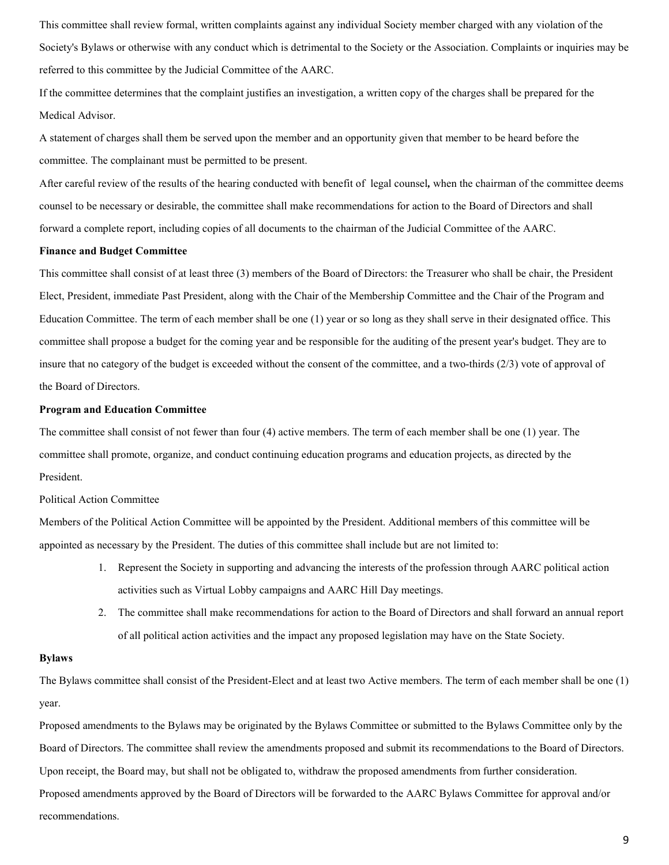This committee shall review formal, written complaints against any individual Society member charged with any violation of the Society's Bylaws or otherwise with any conduct which is detrimental to the Society or the Association. Complaints or inquiries may be referred to this committee by the Judicial Committee of the AARC.

If the committee determines that the complaint justifies an investigation, a written copy of the charges shall be prepared for the Medical Advisor.

A statement of charges shall them be served upon the member and an opportunity given that member to be heard before the committee. The complainant must be permitted to be present.

After careful review of the results of the hearing conducted with benefit of legal counsel*,* when the chairman of the committee deems counsel to be necessary or desirable, the committee shall make recommendations for action to the Board of Directors and shall forward a complete report, including copies of all documents to the chairman of the Judicial Committee of the AARC.

## **Finance and Budget Committee**

This committee shall consist of at least three (3) members of the Board of Directors: the Treasurer who shall be chair, the President Elect, President, immediate Past President, along with the Chair of the Membership Committee and the Chair of the Program and Education Committee. The term of each member shall be one (1) year or so long as they shall serve in their designated office. This committee shall propose a budget for the coming year and be responsible for the auditing of the present year's budget. They are to insure that no category of the budget is exceeded without the consent of the committee, and a two-thirds (2/3) vote of approval of the Board of Directors.

### **Program and Education Committee**

The committee shall consist of not fewer than four (4) active members. The term of each member shall be one (1) year. The committee shall promote, organize, and conduct continuing education programs and education projects, as directed by the President.

### Political Action Committee

Members of the Political Action Committee will be appointed by the President. Additional members of this committee will be appointed as necessary by the President. The duties of this committee shall include but are not limited to:

- 1. Represent the Society in supporting and advancing the interests of the profession through AARC political action activities such as Virtual Lobby campaigns and AARC Hill Day meetings.
- 2. The committee shall make recommendations for action to the Board of Directors and shall forward an annual report of all political action activities and the impact any proposed legislation may have on the State Society.

#### **Bylaws**

The Bylaws committee shall consist of the President-Elect and at least two Active members. The term of each member shall be one (1) year.

Proposed amendments to the Bylaws may be originated by the Bylaws Committee or submitted to the Bylaws Committee only by the Board of Directors. The committee shall review the amendments proposed and submit its recommendations to the Board of Directors. Upon receipt, the Board may, but shall not be obligated to, withdraw the proposed amendments from further consideration. Proposed amendments approved by the Board of Directors will be forwarded to the AARC Bylaws Committee for approval and/or recommendations.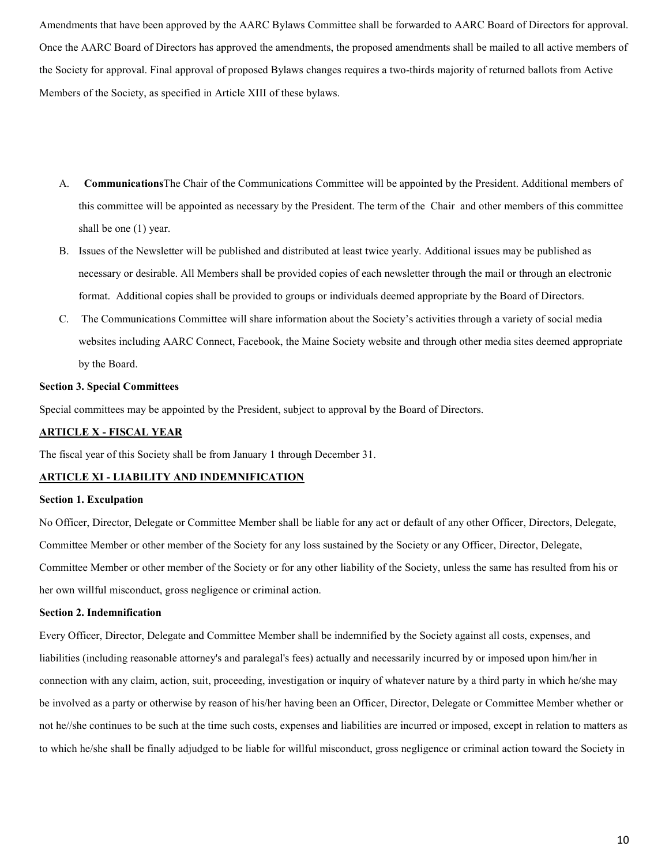Amendments that have been approved by the AARC Bylaws Committee shall be forwarded to AARC Board of Directors for approval. Once the AARC Board of Directors has approved the amendments, the proposed amendments shall be mailed to all active members of the Society for approval. Final approval of proposed Bylaws changes requires a two-thirds majority of returned ballots from Active Members of the Society, as specified in Article XIII of these bylaws.

- A. **Communications**The Chair of the Communications Committee will be appointed by the President. Additional members of this committee will be appointed as necessary by the President. The term of the Chair and other members of this committee shall be one (1) year.
- B. Issues of the Newsletter will be published and distributed at least twice yearly. Additional issues may be published as necessary or desirable. All Members shall be provided copies of each newsletter through the mail or through an electronic format. Additional copies shall be provided to groups or individuals deemed appropriate by the Board of Directors.
- C. The Communications Committee will share information about the Society's activities through a variety of social media websites including AARC Connect, Facebook, the Maine Society website and through other media sites deemed appropriate by the Board.

## **Section 3. Special Committees**

Special committees may be appointed by the President, subject to approval by the Board of Directors.

## **ARTICLE X - FISCAL YEAR**

The fiscal year of this Society shall be from January 1 through December 31.

## **ARTICLE XI - LIABILITY AND INDEMNIFICATION**

### **Section 1. Exculpation**

No Officer, Director, Delegate or Committee Member shall be liable for any act or default of any other Officer, Directors, Delegate, Committee Member or other member of the Society for any loss sustained by the Society or any Officer, Director, Delegate, Committee Member or other member of the Society or for any other liability of the Society, unless the same has resulted from his or her own willful misconduct, gross negligence or criminal action.

#### **Section 2. Indemnification**

Every Officer, Director, Delegate and Committee Member shall be indemnified by the Society against all costs, expenses, and liabilities (including reasonable attorney's and paralegal's fees) actually and necessarily incurred by or imposed upon him/her in connection with any claim, action, suit, proceeding, investigation or inquiry of whatever nature by a third party in which he/she may be involved as a party or otherwise by reason of his/her having been an Officer, Director, Delegate or Committee Member whether or not he//she continues to be such at the time such costs, expenses and liabilities are incurred or imposed, except in relation to matters as to which he/she shall be finally adjudged to be liable for willful misconduct, gross negligence or criminal action toward the Society in